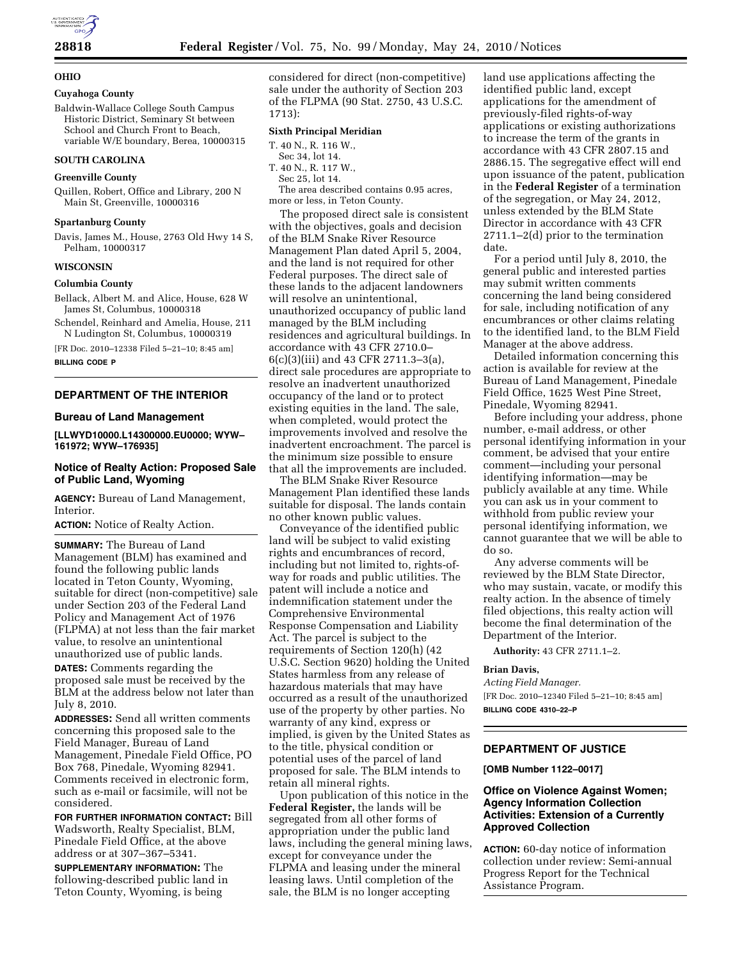## **28818 Federal Register** / Vol. 75, No. 99 / Monday, May 24, 2010 / Notices

## **OHIO**

# **Cuyahoga County**

Baldwin-Wallace College South Campus Historic District, Seminary St between School and Church Front to Beach,

## **SOUTH CAROLINA**

#### **Greenville County**

Quillen, Robert, Office and Library, 200 N Main St, Greenville, 10000316

variable W/E boundary, Berea, 10000315

#### **Spartanburg County**

Davis, James M., House, 2763 Old Hwy 14 S, Pelham, 10000317

## **WISCONSIN**

## **Columbia County**

Bellack, Albert M. and Alice, House, 628 W James St, Columbus, 10000318

Schendel, Reinhard and Amelia, House, 211 N Ludington St, Columbus, 10000319

[FR Doc. 2010–12338 Filed 5–21–10; 8:45 am] **BILLING CODE P** 

## **DEPARTMENT OF THE INTERIOR**

#### **Bureau of Land Management**

**[LLWYD10000.L14300000.EU0000; WYW– 161972; WYW–176935]** 

## **Notice of Realty Action: Proposed Sale of Public Land, Wyoming**

**AGENCY:** Bureau of Land Management, Interior.

**ACTION:** Notice of Realty Action.

**SUMMARY:** The Bureau of Land Management (BLM) has examined and found the following public lands located in Teton County, Wyoming, suitable for direct (non-competitive) sale under Section 203 of the Federal Land Policy and Management Act of 1976 (FLPMA) at not less than the fair market value, to resolve an unintentional unauthorized use of public lands.

**DATES:** Comments regarding the proposed sale must be received by the BLM at the address below not later than July 8, 2010.

**ADDRESSES:** Send all written comments concerning this proposed sale to the Field Manager, Bureau of Land Management, Pinedale Field Office, PO Box 768, Pinedale, Wyoming 82941. Comments received in electronic form, such as e-mail or facsimile, will not be considered.

**FOR FURTHER INFORMATION CONTACT:** Bill Wadsworth, Realty Specialist, BLM, Pinedale Field Office, at the above address or at 307–367–5341.

**SUPPLEMENTARY INFORMATION:** The following-described public land in Teton County, Wyoming, is being

considered for direct (non-competitive) sale under the authority of Section 203 of the FLPMA (90 Stat. 2750, 43 U.S.C. 1713):

## **Sixth Principal Meridian**

- T. 40 N., R. 116 W.,
- Sec 34, lot 14.
- T. 40 N., R. 117 W., Sec 25, lot 14.

The area described contains 0.95 acres, more or less, in Teton County.

The proposed direct sale is consistent with the objectives, goals and decision of the BLM Snake River Resource Management Plan dated April 5, 2004, and the land is not required for other Federal purposes. The direct sale of these lands to the adjacent landowners will resolve an unintentional, unauthorized occupancy of public land managed by the BLM including residences and agricultural buildings. In accordance with 43 CFR 2710.0– 6(c)(3)(iii) and 43 CFR 2711.3–3(a), direct sale procedures are appropriate to resolve an inadvertent unauthorized occupancy of the land or to protect existing equities in the land. The sale, when completed, would protect the improvements involved and resolve the inadvertent encroachment. The parcel is the minimum size possible to ensure that all the improvements are included.

The BLM Snake River Resource Management Plan identified these lands suitable for disposal. The lands contain no other known public values.

Conveyance of the identified public land will be subject to valid existing rights and encumbrances of record, including but not limited to, rights-ofway for roads and public utilities. The patent will include a notice and indemnification statement under the Comprehensive Environmental Response Compensation and Liability Act. The parcel is subject to the requirements of Section 120(h) (42 U.S.C. Section 9620) holding the United States harmless from any release of hazardous materials that may have occurred as a result of the unauthorized use of the property by other parties. No warranty of any kind, express or implied, is given by the United States as to the title, physical condition or potential uses of the parcel of land proposed for sale. The BLM intends to retain all mineral rights.

Upon publication of this notice in the **Federal Register,** the lands will be segregated from all other forms of appropriation under the public land laws, including the general mining laws, except for conveyance under the FLPMA and leasing under the mineral leasing laws. Until completion of the sale, the BLM is no longer accepting

land use applications affecting the identified public land, except applications for the amendment of previously-filed rights-of-way applications or existing authorizations to increase the term of the grants in accordance with 43 CFR 2807.15 and 2886.15. The segregative effect will end upon issuance of the patent, publication in the **Federal Register** of a termination of the segregation, or May 24, 2012, unless extended by the BLM State Director in accordance with 43 CFR 2711.1–2(d) prior to the termination date.

For a period until July 8, 2010, the general public and interested parties may submit written comments concerning the land being considered for sale, including notification of any encumbrances or other claims relating to the identified land, to the BLM Field Manager at the above address.

Detailed information concerning this action is available for review at the Bureau of Land Management, Pinedale Field Office, 1625 West Pine Street, Pinedale, Wyoming 82941.

Before including your address, phone number, e-mail address, or other personal identifying information in your comment, be advised that your entire comment—including your personal identifying information—may be publicly available at any time. While you can ask us in your comment to withhold from public review your personal identifying information, we cannot guarantee that we will be able to do so.

Any adverse comments will be reviewed by the BLM State Director, who may sustain, vacate, or modify this realty action. In the absence of timely filed objections, this realty action will become the final determination of the Department of the Interior.

**Authority:** 43 CFR 2711.1–2.

#### **Brian Davis,**

*Acting Field Manager.*  [FR Doc. 2010–12340 Filed 5–21–10; 8:45 am] **BILLING CODE 4310–22–P** 

## **DEPARTMENT OF JUSTICE**

#### **[OMB Number 1122–0017]**

## **Office on Violence Against Women; Agency Information Collection Activities: Extension of a Currently Approved Collection**

**ACTION:** 60-day notice of information collection under review: Semi-annual Progress Report for the Technical Assistance Program.